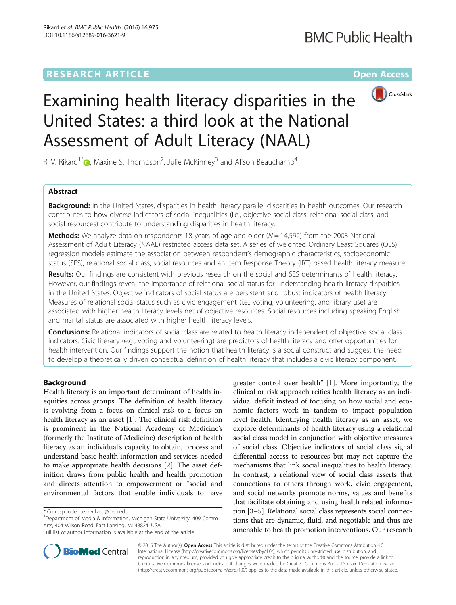## **RESEARCH ARTICLE External Structure Community Community Community Community Community Community Community Community**



# Examining health literacy disparities in the United States: a third look at the National Assessment of Adult Literacy (NAAL)

R. V. Rikard<sup>1\*</sup>  $\bullet$ [,](http://orcid.org/0000-0003-2201-553X) Maxine S. Thompson<sup>2</sup>, Julie McKinney<sup>3</sup> and Alison Beauchamp<sup>4</sup>

## Abstract

**Background:** In the United States, disparities in health literacy parallel disparities in health outcomes. Our research contributes to how diverse indicators of social inequalities (i.e., objective social class, relational social class, and social resources) contribute to understanding disparities in health literacy.

**Methods:** We analyze data on respondents 18 years of age and older  $(N = 14,592)$  from the 2003 National Assessment of Adult Literacy (NAAL) restricted access data set. A series of weighted Ordinary Least Squares (OLS) regression models estimate the association between respondent's demographic characteristics, socioeconomic status (SES), relational social class, social resources and an Item Response Theory (IRT) based health literacy measure.

Results: Our findings are consistent with previous research on the social and SES determinants of health literacy. However, our findings reveal the importance of relational social status for understanding health literacy disparities in the United States. Objective indicators of social status are persistent and robust indicators of health literacy. Measures of relational social status such as civic engagement (i.e., voting, volunteering, and library use) are associated with higher health literacy levels net of objective resources. Social resources including speaking English and marital status are associated with higher health literacy levels.

**Conclusions:** Relational indicators of social class are related to health literacy independent of objective social class indicators. Civic literacy (e.g., voting and volunteering) are predictors of health literacy and offer opportunities for health intervention. Our findings support the notion that health literacy is a social construct and suggest the need to develop a theoretically driven conceptual definition of health literacy that includes a civic literacy component.

## Background

Health literacy is an important determinant of health inequities across groups. The definition of health literacy is evolving from a focus on clinical risk to a focus on health literacy as an asset [\[1](#page-9-0)]. The clinical risk definition is prominent in the National Academy of Medicine's (formerly the Institute of Medicine) description of health literacy as an individual's capacity to obtain, process and understand basic health information and services needed to make appropriate health decisions [[2\]](#page-9-0). The asset definition draws from public health and health promotion and directs attention to empowerment or "social and environmental factors that enable individuals to have

<sup>1</sup>Department of Media & Information, Michigan State University, 409 Comm Arts, 404 Wilson Road, East Lansing, MI 48824, USA

greater control over health" [[1\]](#page-9-0). More importantly, the clinical or risk approach reifies health literacy as an individual deficit instead of focusing on how social and economic factors work in tandem to impact population level health. Identifying health literacy as an asset, we explore determinants of health literacy using a relational social class model in conjunction with objective measures of social class. Objective indicators of social class signal differential access to resources but may not capture the mechanisms that link social inequalities to health literacy. In contrast, a relational view of social class asserts that connections to others through work, civic engagement, and social networks promote norms, values and benefits that facilitate obtaining and using health related information [\[3](#page-9-0)–[5\]](#page-9-0). Relational social class represents social connections that are dynamic, fluid, and negotiable and thus are amenable to health promotion interventions. Our research



© 2016 The Author(s). Open Access This article is distributed under the terms of the Creative Commons Attribution 4.0 International License [\(http://creativecommons.org/licenses/by/4.0/](http://creativecommons.org/licenses/by/4.0/)), which permits unrestricted use, distribution, and reproduction in any medium, provided you give appropriate credit to the original author(s) and the source, provide a link to the Creative Commons license, and indicate if changes were made. The Creative Commons Public Domain Dedication waiver [\(http://creativecommons.org/publicdomain/zero/1.0/](http://creativecommons.org/publicdomain/zero/1.0/)) applies to the data made available in this article, unless otherwise stated.

<sup>\*</sup> Correspondence: [rvrikard@msu.edu](mailto:rvrikard@msu.edu) <sup>1</sup>

Full list of author information is available at the end of the article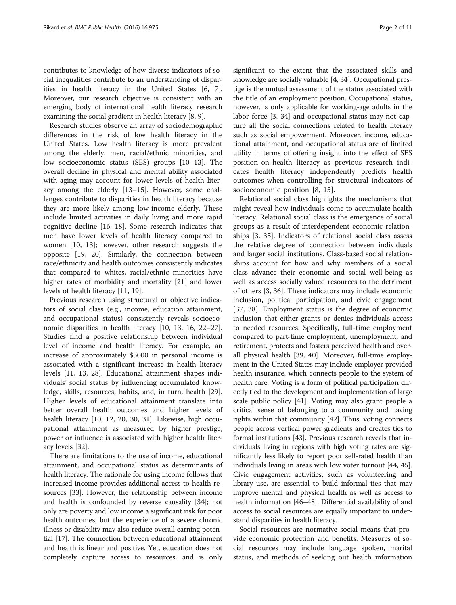contributes to knowledge of how diverse indicators of social inequalities contribute to an understanding of disparities in health literacy in the United States [\[6](#page-9-0), [7](#page-9-0)]. Moreover, our research objective is consistent with an emerging body of international health literacy research examining the social gradient in health literacy [[8, 9](#page-9-0)].

Research studies observe an array of sociodemographic differences in the risk of low health literacy in the United States. Low health literacy is more prevalent among the elderly, men, racial/ethnic minorities, and low socioeconomic status (SES) groups [[10](#page-9-0)–[13](#page-9-0)]. The overall decline in physical and mental ability associated with aging may account for lower levels of health literacy among the elderly [\[13](#page-9-0)–[15\]](#page-9-0). However, some challenges contribute to disparities in health literacy because they are more likely among low-income elderly. These include limited activities in daily living and more rapid cognitive decline [\[16](#page-9-0)–[18\]](#page-9-0). Some research indicates that men have lower levels of health literacy compared to women [[10, 13\]](#page-9-0); however, other research suggests the opposite [[19, 20](#page-9-0)]. Similarly, the connection between race/ethnicity and health outcomes consistently indicates that compared to whites, racial/ethnic minorities have higher rates of morbidity and mortality [\[21](#page-9-0)] and lower levels of health literacy [[11, 19\]](#page-9-0).

Previous research using structural or objective indicators of social class (e.g., income, education attainment, and occupational status) consistently reveals socioeconomic disparities in health literacy [[10, 13, 16](#page-9-0), [22](#page-9-0)–[27](#page-9-0)]. Studies find a positive relationship between individual level of income and health literacy. For example, an increase of approximately \$5000 in personal income is associated with a significant increase in health literacy levels [[11](#page-9-0), [13, 28](#page-9-0)]. Educational attainment shapes individuals' social status by influencing accumulated knowledge, skills, resources, habits, and, in turn, health [\[29](#page-9-0)]. Higher levels of educational attainment translate into better overall health outcomes and higher levels of health literacy [\[10](#page-9-0), [12](#page-9-0), [20, 30, 31\]](#page-9-0). Likewise, high occupational attainment as measured by higher prestige, power or influence is associated with higher health literacy levels [\[32](#page-9-0)].

There are limitations to the use of income, educational attainment, and occupational status as determinants of health literacy. The rationale for using income follows that increased income provides additional access to health resources [\[33\]](#page-10-0). However, the relationship between income and health is confounded by reverse causality [[34](#page-10-0)]; not only are poverty and low income a significant risk for poor health outcomes, but the experience of a severe chronic illness or disability may also reduce overall earning potential [[17](#page-9-0)]. The connection between educational attainment and health is linear and positive. Yet, education does not completely capture access to resources, and is only

significant to the extent that the associated skills and knowledge are socially valuable [\[4,](#page-9-0) [34](#page-10-0)]. Occupational prestige is the mutual assessment of the status associated with the title of an employment position. Occupational status, however, is only applicable for working-age adults in the labor force [[3,](#page-9-0) [34](#page-10-0)] and occupational status may not capture all the social connections related to health literacy such as social empowerment. Moreover, income, educational attainment, and occupational status are of limited utility in terms of offering insight into the effect of SES position on health literacy as previous research indicates health literacy independently predicts health outcomes when controlling for structural indicators of socioeconomic position [\[8](#page-9-0), [15](#page-9-0)].

Relational social class highlights the mechanisms that might reveal how individuals come to accumulate health literacy. Relational social class is the emergence of social groups as a result of interdependent economic relationships [[3,](#page-9-0) [35](#page-10-0)]. Indicators of relational social class assess the relative degree of connection between individuals and larger social institutions. Class-based social relationships account for how and why members of a social class advance their economic and social well-being as well as access socially valued resources to the detriment of others [\[3](#page-9-0), [36](#page-10-0)]. These indicators may include economic inclusion, political participation, and civic engagement [[37, 38\]](#page-10-0). Employment status is the degree of economic inclusion that either grants or denies individuals access to needed resources. Specifically, full-time employment compared to part-time employment, unemployment, and retirement, protects and fosters perceived health and overall physical health [[39](#page-10-0), [40](#page-10-0)]. Moreover, full-time employment in the United States may include employer provided health insurance, which connects people to the system of health care. Voting is a form of political participation directly tied to the development and implementation of large scale public policy [[41](#page-10-0)]. Voting may also grant people a critical sense of belonging to a community and having rights within that community [[42](#page-10-0)]. Thus, voting connects people across vertical power gradients and creates ties to formal institutions [[43](#page-10-0)]. Previous research reveals that individuals living in regions with high voting rates are significantly less likely to report poor self-rated health than individuals living in areas with low voter turnout [[44](#page-10-0), [45](#page-10-0)]. Civic engagement activities, such as volunteering and library use, are essential to build informal ties that may improve mental and physical health as well as access to health information [\[46](#page-10-0)–[48](#page-10-0)]. Differential availability of and access to social resources are equally important to understand disparities in health literacy.

Social resources are normative social means that provide economic protection and benefits. Measures of social resources may include language spoken, marital status, and methods of seeking out health information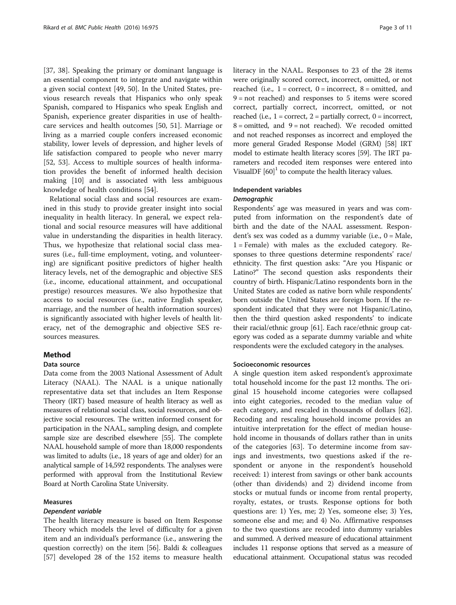[[37, 38\]](#page-10-0). Speaking the primary or dominant language is an essential component to integrate and navigate within a given social context [[49, 50\]](#page-10-0). In the United States, previous research reveals that Hispanics who only speak Spanish, compared to Hispanics who speak English and Spanish, experience greater disparities in use of healthcare services and health outcomes [[50](#page-10-0), [51](#page-10-0)]. Marriage or living as a married couple confers increased economic stability, lower levels of depression, and higher levels of life satisfaction compared to people who never marry [[52, 53\]](#page-10-0). Access to multiple sources of health information provides the benefit of informed health decision making [[10\]](#page-9-0) and is associated with less ambiguous knowledge of health conditions [\[54](#page-10-0)].

Relational social class and social resources are examined in this study to provide greater insight into social inequality in health literacy. In general, we expect relational and social resource measures will have additional value in understanding the disparities in health literacy. Thus, we hypothesize that relational social class measures (i.e., full-time employment, voting, and volunteering) are significant positive predictors of higher health literacy levels, net of the demographic and objective SES (i.e., income, educational attainment, and occupational prestige) resources measures. We also hypothesize that access to social resources (i.e., native English speaker, marriage, and the number of health information sources) is significantly associated with higher levels of health literacy, net of the demographic and objective SES resources measures.

## Method

## Data source

Data come from the 2003 National Assessment of Adult Literacy (NAAL). The NAAL is a unique nationally representative data set that includes an Item Response Theory (IRT) based measure of health literacy as well as measures of relational social class, social resources, and objective social resources. The written informed consent for participation in the NAAL, sampling design, and complete sample size are described elsewhere [\[55\]](#page-10-0). The complete NAAL household sample of more than 18,000 respondents was limited to adults (i.e., 18 years of age and older) for an analytical sample of 14,592 respondents. The analyses were performed with approval from the Institutional Review Board at North Carolina State University.

## Measures

## Dependent variable

The health literacy measure is based on Item Response Theory which models the level of difficulty for a given item and an individual's performance (i.e., answering the question correctly) on the item [[56](#page-10-0)]. Baldi & colleagues [[57\]](#page-10-0) developed 28 of the 152 items to measure health literacy in the NAAL. Responses to 23 of the 28 items were originally scored correct, incorrect, omitted, or not reached (i.e.,  $1 =$  correct,  $0 =$  incorrect,  $8 =$  omitted, and 9 = not reached) and responses to 5 items were scored correct, partially correct, incorrect, omitted, or not reached (i.e.,  $1 =$  correct,  $2 =$  partially correct,  $0 =$  incorrect,  $8 =$  omitted, and  $9 =$  not reached). We recoded omitted and not reached responses as incorrect and employed the more general Graded Response Model (GRM) [\[58](#page-10-0)] IRT model to estimate health literacy scores [\[59\]](#page-10-0). The IRT parameters and recoded item responses were entered into VisualDF  $[60]$  $[60]$  $[60]$ <sup>1</sup> to compute the health literacy values.

## Independent variables **Demographic**

Respondents' age was measured in years and was computed from information on the respondent's date of birth and the date of the NAAL assessment. Respondent's sex was coded as a dummy variable (i.e., 0 = Male,  $1$  = Female) with males as the excluded category. Responses to three questions determine respondents' race/ ethnicity. The first question asks: "Are you Hispanic or Latino?" The second question asks respondents their country of birth. Hispanic/Latino respondents born in the United States are coded as native born while respondents' born outside the United States are foreign born. If the respondent indicated that they were not Hispanic/Latino, then the third question asked respondents' to indicate their racial/ethnic group [[61\]](#page-10-0). Each race/ethnic group category was coded as a separate dummy variable and white respondents were the excluded category in the analyses.

## Socioeconomic resources

A single question item asked respondent's approximate total household income for the past 12 months. The original 15 household income categories were collapsed into eight categories, recoded to the median value of each category, and rescaled in thousands of dollars [\[62](#page-10-0)]. Recoding and rescaling household income provides an intuitive interpretation for the effect of median household income in thousands of dollars rather than in units of the categories [[63](#page-10-0)]. To determine income from savings and investments, two questions asked if the respondent or anyone in the respondent's household received: 1) interest from savings or other bank accounts (other than dividends) and 2) dividend income from stocks or mutual funds or income from rental property, royalty, estates, or trusts. Response options for both questions are: 1) Yes, me; 2) Yes, someone else; 3) Yes, someone else and me; and 4) No. Affirmative responses to the two questions are recoded into dummy variables and summed. A derived measure of educational attainment includes 11 response options that served as a measure of educational attainment. Occupational status was recoded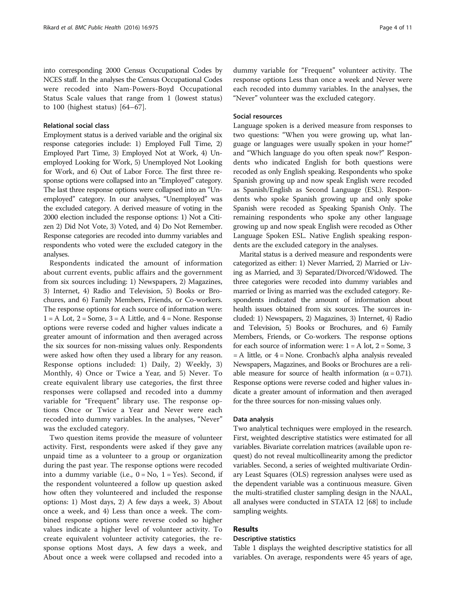into corresponding 2000 Census Occupational Codes by NCES staff. In the analyses the Census Occupational Codes were recoded into Nam-Powers-Boyd Occupational Status Scale values that range from 1 (lowest status) to 100 (highest status) [[64](#page-10-0)–[67\]](#page-10-0).

## Relational social class

Employment status is a derived variable and the original six response categories include: 1) Employed Full Time, 2) Employed Part Time, 3) Employed Not at Work, 4) Unemployed Looking for Work, 5) Unemployed Not Looking for Work, and 6) Out of Labor Force. The first three response options were collapsed into an "Employed" category. The last three response options were collapsed into an "Unemployed" category. In our analyses, "Unemployed" was the excluded category. A derived measure of voting in the 2000 election included the response options: 1) Not a Citizen 2) Did Not Vote, 3) Voted, and 4) Do Not Remember. Response categories are recoded into dummy variables and respondents who voted were the excluded category in the analyses.

Respondents indicated the amount of information about current events, public affairs and the government from six sources including: 1) Newspapers, 2) Magazines, 3) Internet, 4) Radio and Television, 5) Books or Brochures, and 6) Family Members, Friends, or Co-workers. The response options for each source of information were:  $1 = A$  Lot,  $2 = Some$ ,  $3 = A$  Little, and  $4 = None$ . Response options were reverse coded and higher values indicate a greater amount of information and then averaged across the six sources for non-missing values only. Respondents were asked how often they used a library for any reason. Response options included: 1) Daily, 2) Weekly, 3) Monthly, 4) Once or Twice a Year, and 5) Never. To create equivalent library use categories, the first three responses were collapsed and recoded into a dummy variable for "Frequent" library use. The response options Once or Twice a Year and Never were each recoded into dummy variables. In the analyses, "Never" was the excluded category.

Two question items provide the measure of volunteer activity. First, respondents were asked if they gave any unpaid time as a volunteer to a group or organization during the past year. The response options were recoded into a dummy variable (i.e.,  $0 = No$ ,  $1 = Yes$ ). Second, if the respondent volunteered a follow up question asked how often they volunteered and included the response options: 1) Most days, 2) A few days a week, 3) About once a week, and 4) Less than once a week. The combined response options were reverse coded so higher values indicate a higher level of volunteer activity. To create equivalent volunteer activity categories, the response options Most days, A few days a week, and About once a week were collapsed and recoded into a

dummy variable for "Frequent" volunteer activity. The response options Less than once a week and Never were each recoded into dummy variables. In the analyses, the "Never" volunteer was the excluded category.

## Social resources

Language spoken is a derived measure from responses to two questions: "When you were growing up, what language or languages were usually spoken in your home?" and "Which language do you often speak now?" Respondents who indicated English for both questions were recoded as only English speaking. Respondents who spoke Spanish growing up and now speak English were recoded as Spanish/English as Second Language (ESL). Respondents who spoke Spanish growing up and only spoke Spanish were recoded as Speaking Spanish Only. The remaining respondents who spoke any other language growing up and now speak English were recoded as Other Language Spoken ESL. Native English speaking respondents are the excluded category in the analyses.

Marital status is a derived measure and respondents were categorized as either: 1) Never Married, 2) Married or Living as Married, and 3) Separated/Divorced/Widowed. The three categories were recoded into dummy variables and married or living as married was the excluded category. Respondents indicated the amount of information about health issues obtained from six sources. The sources included: 1) Newspapers, 2) Magazines, 3) Internet, 4) Radio and Television, 5) Books or Brochures, and 6) Family Members, Friends, or Co-workers. The response options for each source of information were:  $1 = A$  lot,  $2 =$  Some, 3  $=$  A little, or  $4$  = None. Cronbach's alpha analysis revealed Newspapers, Magazines, and Books or Brochures are a reliable measure for source of health information ( $\alpha = 0.71$ ). Response options were reverse coded and higher values indicate a greater amount of information and then averaged for the three sources for non-missing values only.

#### Data analysis

Two analytical techniques were employed in the research. First, weighted descriptive statistics were estimated for all variables. Bivariate correlation matrices (available upon request) do not reveal multicollinearity among the predictor variables. Second, a series of weighted multivariate Ordinary Least Squares (OLS) regression analyses were used as the dependent variable was a continuous measure. Given the multi-stratified cluster sampling design in the NAAL, all analyses were conducted in STATA 12 [[68](#page-10-0)] to include sampling weights.

## Results

## Descriptive statistics

Table [1](#page-4-0) displays the weighted descriptive statistics for all variables. On average, respondents were 45 years of age,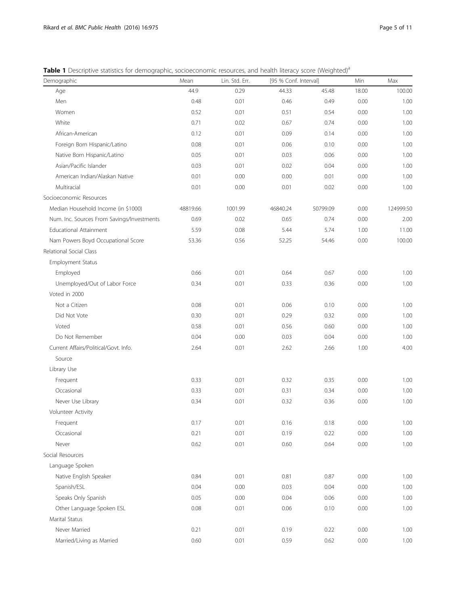<span id="page-4-0"></span>Table 1 Descriptive statistics for demographic, socioeconomic resources, and health literacy score (Weighted)<sup>a</sup>

| Demographic                                | Mean     | Lin. Std. Err. | [95 % Conf. Interval] |          | Min   | Max       |
|--------------------------------------------|----------|----------------|-----------------------|----------|-------|-----------|
| Age                                        | 44.9     | 0.29           | 44.33                 | 45.48    | 18.00 | 100.00    |
| Men                                        | 0.48     | 0.01           | 0.46                  | 0.49     | 0.00  | 1.00      |
| Women                                      | 0.52     | 0.01           | 0.51                  | 0.54     | 0.00  | 1.00      |
| White                                      | 0.71     | 0.02           | 0.67                  | 0.74     | 0.00  | 1.00      |
| African-American                           | 0.12     | 0.01           | 0.09                  | 0.14     | 0.00  | 1.00      |
| Foreign Born Hispanic/Latino               | 0.08     | 0.01           | 0.06                  | 0.10     | 0.00  | 1.00      |
| Native Born Hispanic/Latino                | 0.05     | 0.01           | 0.03                  | 0.06     | 0.00  | 1.00      |
| Asian/Pacific Islander                     | 0.03     | 0.01           | 0.02                  | 0.04     | 0.00  | 1.00      |
| American Indian/Alaskan Native             | 0.01     | 0.00           | 0.00                  | 0.01     | 0.00  | 1.00      |
| Multiracial                                | 0.01     | 0.00           | 0.01                  | 0.02     | 0.00  | 1.00      |
| Socioeconomic Resources                    |          |                |                       |          |       |           |
| Median Household Income (in \$1000)        | 48819.66 | 1001.99        | 46840.24              | 50799.09 | 0.00  | 124999.50 |
| Num. Inc. Sources From Savings/Investments | 0.69     | 0.02           | 0.65                  | 0.74     | 0.00  | 2.00      |
| <b>Educational Attainment</b>              | 5.59     | 0.08           | 5.44                  | 5.74     | 1.00  | 11.00     |
| Nam Powers Boyd Occupational Score         | 53.36    | 0.56           | 52.25                 | 54.46    | 0.00  | 100.00    |
| Relational Social Class                    |          |                |                       |          |       |           |
| Employment Status                          |          |                |                       |          |       |           |
| Employed                                   | 0.66     | 0.01           | 0.64                  | 0.67     | 0.00  | 1.00      |
| Unemployed/Out of Labor Force              | 0.34     | 0.01           | 0.33                  | 0.36     | 0.00  | 1.00      |
| Voted in 2000                              |          |                |                       |          |       |           |
| Not a Citizen                              | 0.08     | 0.01           | 0.06                  | 0.10     | 0.00  | 1.00      |
| Did Not Vote                               | 0.30     | 0.01           | 0.29                  | 0.32     | 0.00  | 1.00      |
| Voted                                      | 0.58     | 0.01           | 0.56                  | 0.60     | 0.00  | 1.00      |
| Do Not Remember                            | 0.04     | 0.00           | 0.03                  | 0.04     | 0.00  | 1.00      |
| Current Affairs/Political/Govt. Info.      | 2.64     | 0.01           | 2.62                  | 2.66     | 1.00  | 4.00      |
| Source                                     |          |                |                       |          |       |           |
| Library Use                                |          |                |                       |          |       |           |
| Frequent                                   | 0.33     | 0.01           | 0.32                  | 0.35     | 0.00  | 1.00      |
| Occasional                                 | 0.33     | 0.01           | 0.31                  | 0.34     | 0.00  | 1.00      |
| Never Use Library                          | 0.34     | 0.01           | 0.32                  | 0.36     | 0.00  | 1.00      |
| Volunteer Activity                         |          |                |                       |          |       |           |
| Frequent                                   | 0.17     | 0.01           | 0.16                  | 0.18     | 0.00  | 1.00      |
| Occasional                                 | 0.21     | 0.01           | 0.19                  | 0.22     | 0.00  | 1.00      |
| Never                                      | 0.62     | 0.01           | 0.60                  | 0.64     | 0.00  | 1.00      |
| Social Resources                           |          |                |                       |          |       |           |
| Language Spoken                            |          |                |                       |          |       |           |
| Native English Speaker                     | 0.84     | 0.01           | 0.81                  | 0.87     | 0.00  | 1.00      |
| Spanish/ESL                                | 0.04     | 0.00           | 0.03                  | 0.04     | 0.00  | 1.00      |
| Speaks Only Spanish                        | 0.05     | 0.00           | 0.04                  | 0.06     | 0.00  | 1.00      |
| Other Language Spoken ESL                  | 0.08     | 0.01           | 0.06                  | 0.10     | 0.00  | 1.00      |
| Marital Status                             |          |                |                       |          |       |           |
| Never Married                              | 0.21     | 0.01           | 0.19                  | 0.22     | 0.00  | 1.00      |
| Married/Living as Married                  | 0.60     | 0.01           | 0.59                  | 0.62     | 0.00  | 1.00      |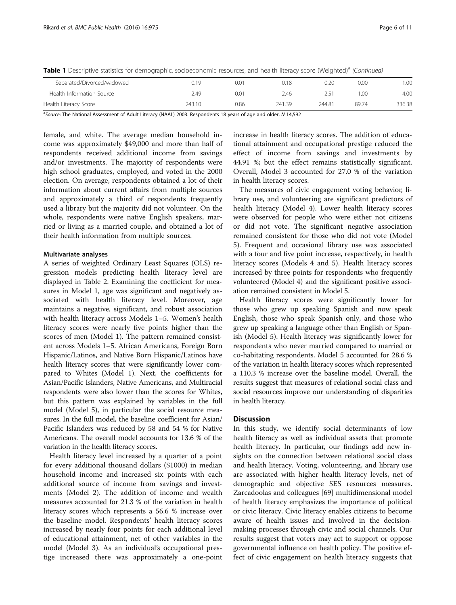Table 1 Descriptive statistics for demographic, socioeconomic resources, and health literacy score (Weighted)<sup>a</sup> (Continued)

| Separated/Divorced/widowed | 0.19   | 0.01 | J.18   | 0.20   | 0.00  | 0.00   |
|----------------------------|--------|------|--------|--------|-------|--------|
| Health Information Source  | 2.49   | 0.01 | 2.46   |        | .OC   | 4.00   |
| Health Literacy Score      | 243.10 | 0.86 | 241.39 | 244.81 | 89.74 | 336.38 |

<sup>a</sup>Source: The National Assessment of Adult Literacy (NAAL) 2003. Respondents 18 years of age and older. N 14,592

female, and white. The average median household income was approximately \$49,000 and more than half of respondents received additional income from savings and/or investments. The majority of respondents were high school graduates, employed, and voted in the 2000 election. On average, respondents obtained a lot of their information about current affairs from multiple sources and approximately a third of respondents frequently used a library but the majority did not volunteer. On the whole, respondents were native English speakers, married or living as a married couple, and obtained a lot of their health information from multiple sources.

#### Multivariate analyses

A series of weighted Ordinary Least Squares (OLS) regression models predicting health literacy level are displayed in Table [2.](#page-6-0) Examining the coefficient for measures in Model 1, age was significant and negatively associated with health literacy level. Moreover, age maintains a negative, significant, and robust association with health literacy across Models 1–5. Women's health literacy scores were nearly five points higher than the scores of men (Model 1). The pattern remained consistent across Models 1–5. African Americans, Foreign Born Hispanic/Latinos, and Native Born Hispanic/Latinos have health literacy scores that were significantly lower compared to Whites (Model 1). Next, the coefficients for Asian/Pacific Islanders, Native Americans, and Multiracial respondents were also lower than the scores for Whites, but this pattern was explained by variables in the full model (Model 5), in particular the social resource measures. In the full model, the baseline coefficient for Asian/ Pacific Islanders was reduced by 58 and 54 % for Native Americans. The overall model accounts for 13.6 % of the variation in the health literacy scores.

Health literacy level increased by a quarter of a point for every additional thousand dollars (\$1000) in median household income and increased six points with each additional source of income from savings and investments (Model 2). The addition of income and wealth measures accounted for 21.3 % of the variation in health literacy scores which represents a 56.6 % increase over the baseline model. Respondents' health literacy scores increased by nearly four points for each additional level of educational attainment, net of other variables in the model (Model 3). As an individual's occupational prestige increased there was approximately a one-point increase in health literacy scores. The addition of educational attainment and occupational prestige reduced the effect of income from savings and investments by 44.91 %; but the effect remains statistically significant. Overall, Model 3 accounted for 27.0 % of the variation in health literacy scores.

The measures of civic engagement voting behavior, library use, and volunteering are significant predictors of health literacy (Model 4). Lower health literacy scores were observed for people who were either not citizens or did not vote. The significant negative association remained consistent for those who did not vote (Model 5). Frequent and occasional library use was associated with a four and five point increase, respectively, in health literacy scores (Models 4 and 5). Health literacy scores increased by three points for respondents who frequently volunteered (Model 4) and the significant positive association remained consistent in Model 5.

Health literacy scores were significantly lower for those who grew up speaking Spanish and now speak English, those who speak Spanish only, and those who grew up speaking a language other than English or Spanish (Model 5). Health literacy was significantly lower for respondents who never married compared to married or co-habitating respondents. Model 5 accounted for 28.6 % of the variation in health literacy scores which represented a 110.3 % increase over the baseline model. Overall, the results suggest that measures of relational social class and social resources improve our understanding of disparities in health literacy.

## **Discussion**

In this study, we identify social determinants of low health literacy as well as individual assets that promote health literacy. In particular, our findings add new insights on the connection between relational social class and health literacy. Voting, volunteering, and library use are associated with higher health literacy levels, net of demographic and objective SES resources measures. Zarcadoolas and colleagues [[69\]](#page-10-0) multidimensional model of health literacy emphasizes the importance of political or civic literacy. Civic literacy enables citizens to become aware of health issues and involved in the decisionmaking processes through civic and social channels. Our results suggest that voters may act to support or oppose governmental influence on health policy. The positive effect of civic engagement on health literacy suggests that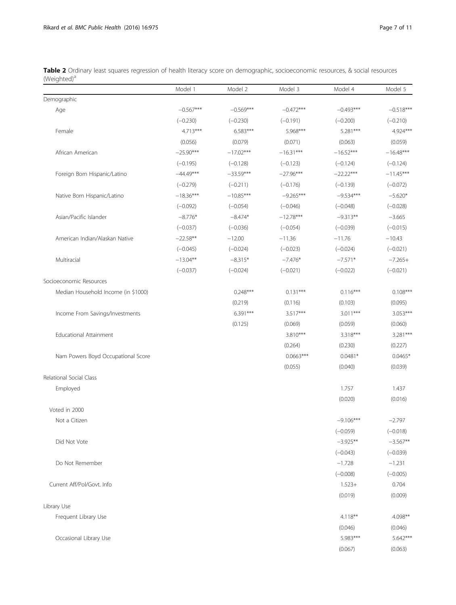<span id="page-6-0"></span>

| Table 2 Ordinary least squares regression of health literacy score on demographic, socioeconomic resources, & social resources |  |  |  |  |  |
|--------------------------------------------------------------------------------------------------------------------------------|--|--|--|--|--|
| (Weighted) <sup>a</sup>                                                                                                        |  |  |  |  |  |

|                                     | Model 1     | Model 2     | Model 3     | Model 4     | Model 5     |
|-------------------------------------|-------------|-------------|-------------|-------------|-------------|
| Demographic                         |             |             |             |             |             |
| Age                                 | $-0.567***$ | $-0.569***$ | $-0.472***$ | $-0.493***$ | $-0.518***$ |
|                                     | $(-0.230)$  | $(-0.230)$  | $(-0.191)$  | $(-0.200)$  | $(-0.210)$  |
| Female                              | $4.713***$  | 6.583***    | 5.968***    | 5.281***    | 4.924***    |
|                                     | (0.056)     | (0.079)     | (0.071)     | (0.063)     | (0.059)     |
| African American                    | $-25.90***$ | $-17.02***$ | $-16.31***$ | $-16.52***$ | $-16.48***$ |
|                                     | $(-0.195)$  | $(-0.128)$  | $(-0.123)$  | $(-0.124)$  | $(-0.124)$  |
| Foreign Born Hispanic/Latino        | $-44.49***$ | $-33.59***$ | $-27.96***$ | $-22.22***$ | $-11.45***$ |
|                                     | $(-0.279)$  | $(-0.211)$  | $(-0.176)$  | $(-0.139)$  | $(-0.072)$  |
| Native Born Hispanic/Latino         | $-18.36***$ | $-10.85***$ | $-9.265***$ | $-9.534***$ | $-5.620*$   |
|                                     | $(-0.092)$  | $(-0.054)$  | $(-0.046)$  | $(-0.048)$  | $(-0.028)$  |
| Asian/Pacific Islander              | $-8.776*$   | $-8.474*$   | $-12.78***$ | $-9.313**$  | $-3.665$    |
|                                     | $(-0.037)$  | $(-0.036)$  | $(-0.054)$  | $(-0.039)$  | $(-0.015)$  |
| American Indian/Alaskan Native      | $-22.58**$  | $-12.00$    | $-11.36$    | $-11.76$    | $-10.43$    |
|                                     | $(-0.045)$  | $(-0.024)$  | $(-0.023)$  | $(-0.024)$  | $(-0.021)$  |
| Multiracial                         | $-13.04***$ | $-8.315*$   | $-7.476*$   | $-7.571*$   | $-7.265+$   |
|                                     | $(-0.037)$  | $(-0.024)$  | $(-0.021)$  | $(-0.022)$  | $(-0.021)$  |
| Socioeconomic Resources             |             |             |             |             |             |
| Median Household Income (in \$1000) |             | $0.248***$  | $0.131***$  | $0.116***$  | $0.108***$  |
|                                     |             | (0.219)     | (0.116)     | (0.103)     | (0.095)     |
| Income From Savings/Investments     |             | $6.391***$  | 3.517***    | $3.011***$  | 3.053***    |
|                                     |             | (0.125)     | (0.069)     | (0.059)     | (0.060)     |
| Educational Attainment              |             |             | 3.810***    | 3.318***    | 3.281***    |
|                                     |             |             | (0.264)     | (0.230)     | (0.227)     |
| Nam Powers Boyd Occupational Score  |             |             | $0.0663***$ | $0.0481*$   | $0.0465*$   |
|                                     |             |             | (0.055)     | (0.040)     | (0.039)     |
| Relational Social Class             |             |             |             |             |             |
| Employed                            |             |             |             | 1.757       | 1.437       |
|                                     |             |             |             | (0.020)     | (0.016)     |
| Voted in 2000                       |             |             |             |             |             |
| Not a Citizen                       |             |             |             | $-9.106***$ | $-2.797$    |
|                                     |             |             |             | $(-0.059)$  | $(-0.018)$  |
| Did Not Vote                        |             |             |             | $-3.925**$  | $-3.567**$  |
|                                     |             |             |             | $(-0.043)$  | $(-0.039)$  |
| Do Not Remember                     |             |             |             | $-1.728$    | $-1.231$    |
|                                     |             |             |             | $(-0.008)$  | $(-0.005)$  |
| Current Aff/Pol/Govt. Info          |             |             |             | $1.523+$    | 0.704       |
|                                     |             |             |             | (0.019)     | (0.009)     |
| Library Use                         |             |             |             |             |             |
| Frequent Library Use                |             |             |             | $4.118**$   | 4.098**     |
|                                     |             |             |             | (0.046)     | (0.046)     |
| Occasional Library Use              |             |             |             | 5.983***    | 5.642***    |
|                                     |             |             |             | (0.067)     | (0.063)     |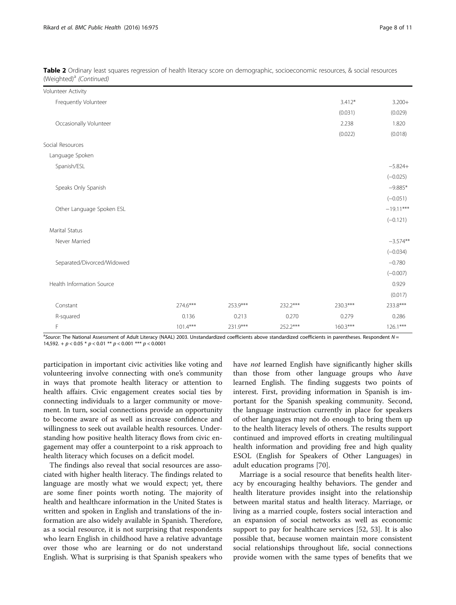| Volunteer Activity         |            |          |            |            |             |
|----------------------------|------------|----------|------------|------------|-------------|
| Frequently Volunteer       |            |          |            | $3.412*$   | $3.200+$    |
|                            |            |          |            | (0.031)    | (0.029)     |
| Occasionally Volunteer     |            |          |            | 2.238      | 1.820       |
|                            |            |          |            | (0.022)    | (0.018)     |
| Social Resources           |            |          |            |            |             |
| Language Spoken            |            |          |            |            |             |
| Spanish/ESL                |            |          |            |            | $-5.824+$   |
|                            |            |          |            |            | $(-0.025)$  |
| Speaks Only Spanish        |            |          |            |            | $-9.885*$   |
|                            |            |          |            |            | $(-0.051)$  |
| Other Language Spoken ESL  |            |          |            |            | $-19.11***$ |
|                            |            |          |            |            | $(-0.121)$  |
| <b>Marital Status</b>      |            |          |            |            |             |
| Never Married              |            |          |            |            | $-3.574**$  |
|                            |            |          |            |            | $(-0.034)$  |
| Separated/Divorced/Widowed |            |          |            |            | $-0.780$    |
|                            |            |          |            |            | $(-0.007)$  |
| Health Information Source  |            |          |            |            | 0.929       |
|                            |            |          |            |            | (0.017)     |
| Constant                   | 274.6***   | 253.9*** | 232.2***   | 230.3***   | 233.8***    |
| R-squared                  | 0.136      | 0.213    | 0.270      | 0.279      | 0.286       |
| F                          | $101.4***$ | 231.9*** | $252.2***$ | $160.3***$ | $126.1***$  |

| Table 2 Ordinary least squares regression of health literacy score on demographic, socioeconomic resources, & social resources |  |  |  |
|--------------------------------------------------------------------------------------------------------------------------------|--|--|--|
| (Weighted) <sup>a</sup> (Continued)                                                                                            |  |  |  |

<sup>a</sup>Source: The National Assessment of Adult Literacy (NAAL) 2003. Unstandardized coefficients above standardized coefficients in parentheses. Respondent N = 14,592. +  $p$  < 0.05 \*  $p$  < 0.01 \*\*  $p$  < 0.001 \*\*\*  $p$  < 0.0001

participation in important civic activities like voting and volunteering involve connecting with one's community in ways that promote health literacy or attention to health affairs. Civic engagement creates social ties by connecting individuals to a larger community or movement. In turn, social connections provide an opportunity to become aware of as well as increase confidence and willingness to seek out available health resources. Understanding how positive health literacy flows from civic engagement may offer a counterpoint to a risk approach to health literacy which focuses on a deficit model.

The findings also reveal that social resources are associated with higher health literacy. The findings related to language are mostly what we would expect; yet, there are some finer points worth noting. The majority of health and healthcare information in the United States is written and spoken in English and translations of the information are also widely available in Spanish. Therefore, as a social resource, it is not surprising that respondents who learn English in childhood have a relative advantage over those who are learning or do not understand English. What is surprising is that Spanish speakers who have not learned English have significantly higher skills than those from other language groups who have learned English. The finding suggests two points of interest. First, providing information in Spanish is important for the Spanish speaking community. Second, the language instruction currently in place for speakers of other languages may not do enough to bring them up to the health literacy levels of others. The results support continued and improved efforts in creating multilingual health information and providing free and high quality ESOL (English for Speakers of Other Languages) in adult education programs [\[70\]](#page-10-0).

Marriage is a social resource that benefits health literacy by encouraging healthy behaviors. The gender and health literature provides insight into the relationship between marital status and health literacy. Marriage, or living as a married couple, fosters social interaction and an expansion of social networks as well as economic support to pay for healthcare services [[52](#page-10-0), [53\]](#page-10-0). It is also possible that, because women maintain more consistent social relationships throughout life, social connections provide women with the same types of benefits that we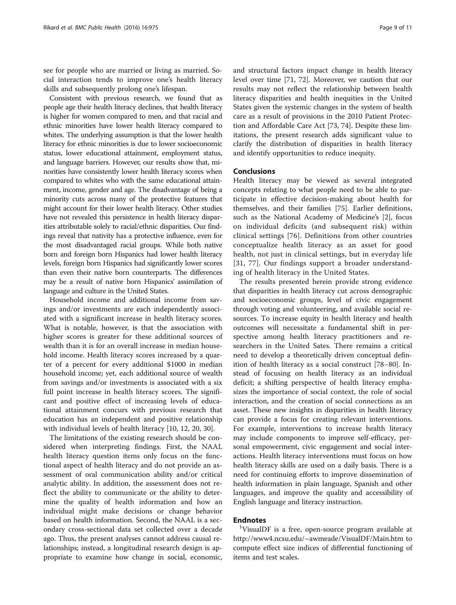see for people who are married or living as married. Social interaction tends to improve one's health literacy skills and subsequently prolong one's lifespan.

Consistent with previous research, we found that as people age their health literacy declines, that health literacy is higher for women compared to men, and that racial and ethnic minorities have lower health literacy compared to whites. The underlying assumption is that the lower health literacy for ethnic minorities is due to lower socioeconomic status, lower educational attainment, employment status, and language barriers. However, our results show that, minorities have consistently lower health literacy scores when compared to whites who with the same educational attainment, income, gender and age. The disadvantage of being a minority cuts across many of the protective features that might account for their lower health literacy. Other studies have not revealed this persistence in health literacy disparities attributable solely to racial/ethnic disparities. Our findings reveal that nativity has a protective influence, even for the most disadvantaged racial groups. While both native born and foreign born Hispanics had lower health literacy levels, foreign born Hispanics had significantly lower scores than even their native born counterparts. The differences may be a result of native born Hispanics' assimilation of language and culture in the United States.

Household income and additional income from savings and/or investments are each independently associated with a significant increase in health literacy scores. What is notable, however, is that the association with higher scores is greater for these additional sources of wealth than it is for an overall increase in median household income. Health literacy scores increased by a quarter of a percent for every additional \$1000 in median household income; yet, each additional source of wealth from savings and/or investments is associated with a six full point increase in health literacy scores. The significant and positive effect of increasing levels of educational attainment concurs with previous research that education has an independent and positive relationship with individual levels of health literacy [[10, 12, 20, 30](#page-9-0)].

The limitations of the existing research should be considered when interpreting findings. First, the NAAL health literacy question items only focus on the functional aspect of health literacy and do not provide an assessment of oral communication ability and/or critical analytic ability. In addition, the assessment does not reflect the ability to communicate or the ability to determine the quality of health information and how an individual might make decisions or change behavior based on health information. Second, the NAAL is a secondary cross-sectional data set collected over a decade ago. Thus, the present analyses cannot address causal relationships; instead, a longitudinal research design is appropriate to examine how change in social, economic, and structural factors impact change in health literacy level over time [\[71](#page-10-0), [72](#page-10-0)]. Moreover, we caution that our results may not reflect the relationship between health literacy disparities and health inequities in the United States given the systemic changes in the system of health care as a result of provisions in the 2010 Patient Protection and Affordable Care Act [[73, 74\]](#page-10-0). Despite these limitations, the present research adds significant value to clarify the distribution of disparities in health literacy and identify opportunities to reduce inequity.

## Conclusions

Health literacy may be viewed as several integrated concepts relating to what people need to be able to participate in effective decision-making about health for themselves, and their families [[75\]](#page-10-0). Earlier definitions, such as the National Academy of Medicine's [[2](#page-9-0)], focus on individual deficits (and subsequent risk) within clinical settings [\[76\]](#page-10-0). Definitions from other countries conceptualize health literacy as an asset for good health, not just in clinical settings, but in everyday life [[31](#page-9-0), [77\]](#page-10-0). Our findings support a broader understanding of health literacy in the United States.

The results presented herein provide strong evidence that disparities in health literacy cut across demographic and socioeconomic groups, level of civic engagement through voting and volunteering, and available social resources. To increase equity in health literacy and health outcomes will necessitate a fundamental shift in perspective among health literacy practitioners and researchers in the United Sates. There remains a critical need to develop a theoretically driven conceptual definition of health literacy as a social construct [[78](#page-10-0)–[80](#page-10-0)]. Instead of focusing on health literacy as an individual deficit; a shifting perspective of health literacy emphasizes the importance of social context, the role of social interaction, and the creation of social connections as an asset. These new insights in disparities in health literacy can provide a focus for creating relevant interventions. For example, interventions to increase health literacy may include components to improve self-efficacy, personal empowerment, civic engagement and social interactions. Health literacy interventions must focus on how health literacy skills are used on a daily basis. There is a need for continuing efforts to improve dissemination of health information in plain language, Spanish and other languages, and improve the quality and accessibility of English language and literacy instruction.

## **Endnotes**

VisualDF is a free, open-source program available at <http://www4.ncsu.edu/~awmeade/VisualDF/Main.htm> to compute effect size indices of differential functioning of items and test scales.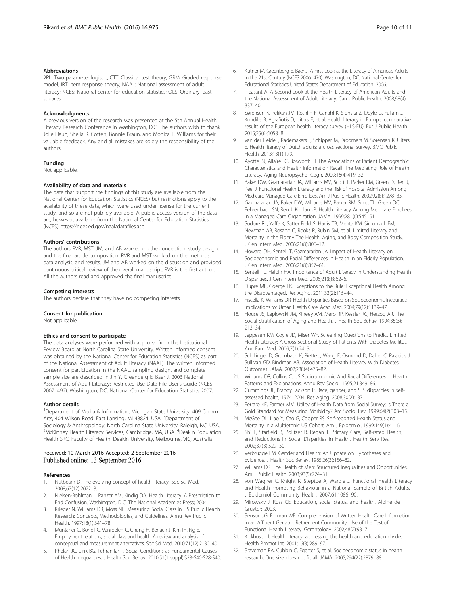#### <span id="page-9-0"></span>Abbreviations

2PL: Two parameter logistic; CTT: Classical test theory; GRM: Graded response model; IRT: Item response theory; NAAL: National assessment of adult literacy; NCES: National center for education statistics; OLS: Ordinary least squares

#### Acknowledgments

A previous version of the research was presented at the 5th Annual Health Literacy Research Conference in Washington, D.C. The authors wish to thank Jolie Haun, Shelia R. Cotten, Bonnie Braun, and Monica E. Williams for their valuable feedback. Any and all mistakes are solely the responsibility of the authors.

#### Funding

Not applicable.

#### Availability of data and materials

The data that support the findings of this study are available from the National Center for Education Statistics (NCES) but restrictions apply to the availability of these data, which were used under license for the current study, and so are not publicly available. A public access version of the data are, however, available from the National Center for Education Statistics (NCES) [https://nces.ed.gov/naal/datafiles.asp.](https://nces.ed.gov/naal/datafiles.asp)

#### Authors' contributions

The authors RVR, MST, JM, and AB worked on the conception, study design, and the final article composition. RVR and MST worked on the methods, data analysis, and results. JM and AB worked on the discussion and provided continuous critical review of the overall manuscript. RVR is the first author. All the authors read and approved the final manuscript.

#### Competing interests

The authors declare that they have no competing interests.

#### Consent for publication

Not applicable.

#### Ethics and consent to participate

The data analyses were performed with approval from the Institutional Review Board at North Carolina State University. Written informed consent was obtained by the National Center for Education Statistics (NCES) as part of the National Assessment of Adult Literacy (NAAL). The written informed consent for participation in the NAAL, sampling design, and complete sample size are described in Jin Y, Greenberg E, Baer J. 2003 National Assessment of Adult Literacy: Restricted-Use Data File User's Guide (NCES 2007–492). Washington, DC: National Center for Education Statistics 2007.

#### Author details

<sup>1</sup>Department of Media & Information, Michigan State University, 409 Comm Arts, 404 Wilson Road, East Lansing, MI 48824, USA. <sup>2</sup>Department of Sociology & Anthropology, North Carolina State University, Raleigh, NC, USA. <sup>3</sup>McKinney Health Literacy Services, Cambridge, MA, USA. <sup>4</sup>Deakin Population Health SRC, Faculty of Health, Deakin University, Melbourne, VIC, Australia.

#### Received: 10 March 2016 Accepted: 2 September 2016 Published online: 13 September 2016

#### References

- 1. Nutbeam D. The evolving concept of health literacy. Soc Sci Med. 2008;67(12):2072–8.
- 2. Nielsen-Bohlman L, Panzer AM, Kindig DA. Health Literacy: A Prescription to End Confusion. Washington, D.C: The National Academies Press; 2004.
- 3. Krieger N, Williams DR, Moss NE. Measuring Social Class in US Public Health Research: Concepts, Methodologies, and Guidelines. Annu Rev Public Health. 1997;18(1):341–78.
- Muntaner C, Borrell C, Vanroelen C, Chung H, Benach J, Kim IH, Ng E. Employment relations, social class and health: A review and analysis of conceptual and measurement alternatives. Soc Sci Med. 2010;71(12):2130–40.
- 5. Phelan JC, Link BG, Tehranifar P. Social Conditions as Fundamental Causes of Health Inequalities. J Health Soc Behav. 2010;51(1 suppl):S28-S40-S28-S40.
- 6. Kutner M, Greenberg E, Baer J. A First Look at the Literacy of America's Adults in the 21st Century (NCES 2006–470). Washington, DC: National Center for Educational Statistics United States Department of Education; 2006.
- Pleasant A. A Second Look at the Health Literacy of American Adults and the National Assessment of Adult Literacy. Can J Public Health. 2008;98(4): 337–40.
- 8. Sørensen K, Pelikan JM, Röthlin F, Ganahl K, Slonska Z, Doyle G, Fullam J, Kondilis B, Agrafiotis D, Uiters E, et al. Health literacy in Europe: comparative results of the European health literacy survey (HLS-EU). Eur J Public Health. 2015;25(6):1053–8.
- van der Heide I, Rademakers J, Schipper M, Droomers M, Sorensen K, Uiters E. Health literacy of Dutch adults: a cross sectional survey. BMC Public Health. 2013;13(1):179.
- 10. Ayotte BJ, Allaire JC, Bosworth H. The Associations of Patient Demographic Characteristics and Health Information Recall: The Mediating Role of Health Literacy. Aging Neuropsychol Cogn. 2009;16(4):419–32.
- 11. Baker DW, Gazmararian JA, Williams MV, Scott T, Parker RM, Green D, Ren J, Peel J. Functional Health Literacy and the Risk of Hospital Admission Among Medicare Managed Care Enrollees. Am J Public Health. 2002;92(8):1278–83.
- 12. Gazmararian JA, Baker DW, Williams MV, Parker RM, Scott TL, Green DC, Fehrenbach SN, Ren J, Koplan JP. Health Literacy Among Medicare Enrollees in a Managed Care Organization. JAMA. 1999;281(6):545–51.
- 13. Sudore RL, Yaffe K, Satter Field S, Harris TB, Mehta KM, Simonsick EM, Newman AB, Rosano C, Rooks R, Rubin SM, et al. Limited Literacy and Mortality in the Elderly The Health, Aging, and Body Composition Study. J Gen Intern Med. 2006;21(8):806–12.
- 14. Howard DH, Sentell T, Gazmararian JA. Impact of Health Literacy on Socioeconomic and Racial Differences in Health in an Elderly Population. J Gen Intern Med. 2006;21(8):857–61.
- 15. Sentell TL, Halpin HA. Importance of Adult Literacy in Understanding Health Disparities. J Gen Intern Med. 2006;21(8):862–6.
- 16. Dupre ME, Goerge LK. Exceptions to the Rule: Exceptional Health Among the Disadvantaged. Res Aging. 2011;33(2):115–44.
- 17. Fiscella K, Williams DR. Health Disparities Based on Socioeconomic Inequities: Implications for Urban Health Care. Acad Med. 2004;79(12):1139–47.
- 18. House JS, Leplowski JM, Kineey AM, Mero RP, Kessler RC, Herzog AR. The Social Stratification of Aging and Health. J Health Soc Behav. 1994;35(3): 213–34.
- 19. Jeppesen KM, Coyle JD, Miser WF. Screening Questions to Predict Limited Health Literacy: A Cross-Sectional Study of Patients With Diabetes Mellitus. Ann Fam Med. 2009;7(1):24–31.
- 20. Schillinger D, Grumbach K, Piette J, Wang F, Osmond D, Daher C, Palacios J, Sullivan GD, Bindman AB. Association of Health Literacy With Diabetes Outcomes. JAMA. 2002;288(4):475–82.
- 21. Williams DR, Collins C. US Socioeconomic And Racial Differences in Health: Patterns and Explanations. Annu Rev Sociol. 1995;21:349–86.
- 22. Cummings JL, Braboy Jackson P. Race, gender, and SES disparities in selfassessed health, 1974–2004. Res Aging. 2008;30(2):137.
- 23. Ferraro KF, Farmer MM. Utility of Health Data from Social Survey: Is There a Gold Standard for Measuring Morbidity? Am Sociol Rev. 1999;64(2):303–15.
- 24. McGee DL, Liao Y, Cao G, Cooper RS. Self-reported Health Status and Mortality in a Multiethnic US Cohort. Am J Epidemiol. 1999;149(1):41–6.
- 25. Shi L, Starfield B, Politzer R, Regan J. Primary Care, Self-rated Health, and Reductions in Social Disparities in Health. Health Serv Res. 2002;37(3):529–50.
- 26. Verbrugge LM. Gender and Health: An Update on Hypotheses and Evidence. J Health Soc Behav. 1985;26(3):156–82.
- 27. Williams DR. The Health of Men: Structured Inequalities and Opportunities. Am J Public Health. 2003;93(5):724–31.
- 28. von Wagner C, Knight K, Steptoe A, Wardle J. Functional Health Literacy and Health-Promoting Behaviour in a National Sample of British Adults. J Epidemiol Community Health. 2007;61:1086–90.
- 29. Mirowsky J, Ross CE. Education, social status, and health. Aldine de Gruyter; 2003.
- 30. Benson JG, Forman WB. Comprehension of Written Health Care Information in an Affluent Geriatric Retirement Community: Use of the Test of Functional Health Literacy. Gerontology. 2002;48(2):93–7.
- 31. Kickbusch I. Health literacy: addressing the health and education divide. Health Promot Int. 2001;16(3):289–97.
- 32. Braveman PA, Cubbin C, Egerter S, et al. Socioeconomic status in health research: One size does not fit all. JAMA. 2005;294(22):2879–88.